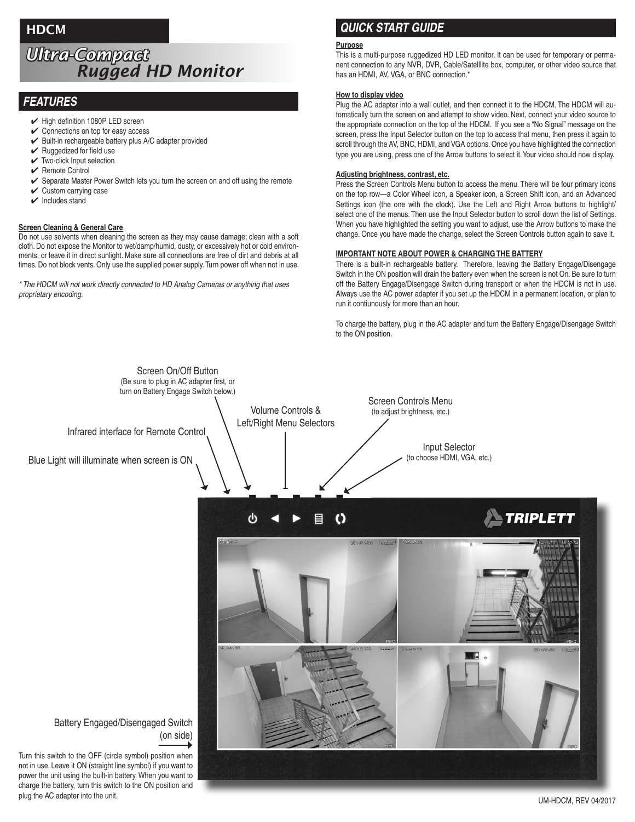## **HDCM**

# *Ultra-Compact Rugged HD Monitor*

### *FEATURES*

- $\blacktriangleright$  High definition 1080P LED screen
- $\checkmark$  Connections on top for easy access
- $\mathcal V$  Built-in rechargeable battery plus A/C adapter provided
- $\vee$  Ruggedized for field use
- $\checkmark$  Two-click Input selection
- $\sqrt{ }$  Remote Control
- Separate Master Power Switch lets you turn the screen on and off using the remote
- $\checkmark$  Custom carrying case
- $\mathbf{\checkmark}$  Includes stand

### **Screen Cleaning & General Care**

Do not use solvents when cleaning the screen as they may cause damage; clean with a soft cloth. Do not expose the Monitor to wet/damp/humid, dusty, or excessively hot or cold environments, or leave it in direct sunlight. Make sure all connections are free of dirt and debris at all times. Do not block vents. Only use the supplied power supply. Turn power off when not in use.

*\* The HDCM will not work directly connected to HD Analog Cameras or anything that uses proprietary encoding.*

### *QUICK START GUIDE*

### **Purpose**

This is a multi-purpose ruggedized HD LED monitor. It can be used for temporary or permanent connection to any NVR, DVR, Cable/Satelllite box, computer, or other video source that has an HDMI, AV, VGA, or BNC connection.\*

### **How to display video**

Plug the AC adapter into a wall outlet, and then connect it to the HDCM. The HDCM will automatically turn the screen on and attempt to show video. Next, connect your video source to the appropriate connection on the top of the HDCM. If you see a "No Signal" message on the screen, press the Input Selector button on the top to access that menu, then press it again to scroll through the AV, BNC, HDMI, and VGA options. Once you have highlighted the connection type you are using, press one of the Arrow buttons to select it. Your video should now display.

### **Adjusting brightness, contrast, etc.**

Press the Screen Controls Menu button to access the menu. There will be four primary icons on the top row—a Color Wheel icon, a Speaker icon, a Screen Shift icon, and an Advanced Settings icon (the one with the clock). Use the Left and Right Arrow buttons to highlight/ select one of the menus. Then use the Input Selector button to scroll down the list of Settings. When you have highlighted the setting you want to adjust, use the Arrow buttons to make the change. Once you have made the change, select the Screen Controls button again to save it.

### **IMPORTANT NOTE ABOUT POWER & CHARGING THE BATTERY**

There is a built-in rechargeable battery. Therefore, leaving the Battery Engage/Disengage Switch in the ON position will drain the battery even when the screen is not On. Be sure to turn off the Battery Engage/Disengage Switch during transport or when the HDCM is not in use. Always use the AC power adapter if you set up the HDCM in a permanent location, or plan to run it contiunously for more than an hour.

To charge the battery, plug in the AC adapter and turn the Battery Engage/Disengage Switch to the ON position.



plug the AC adapter into the unit. UM-HDCM, REV 04/2017